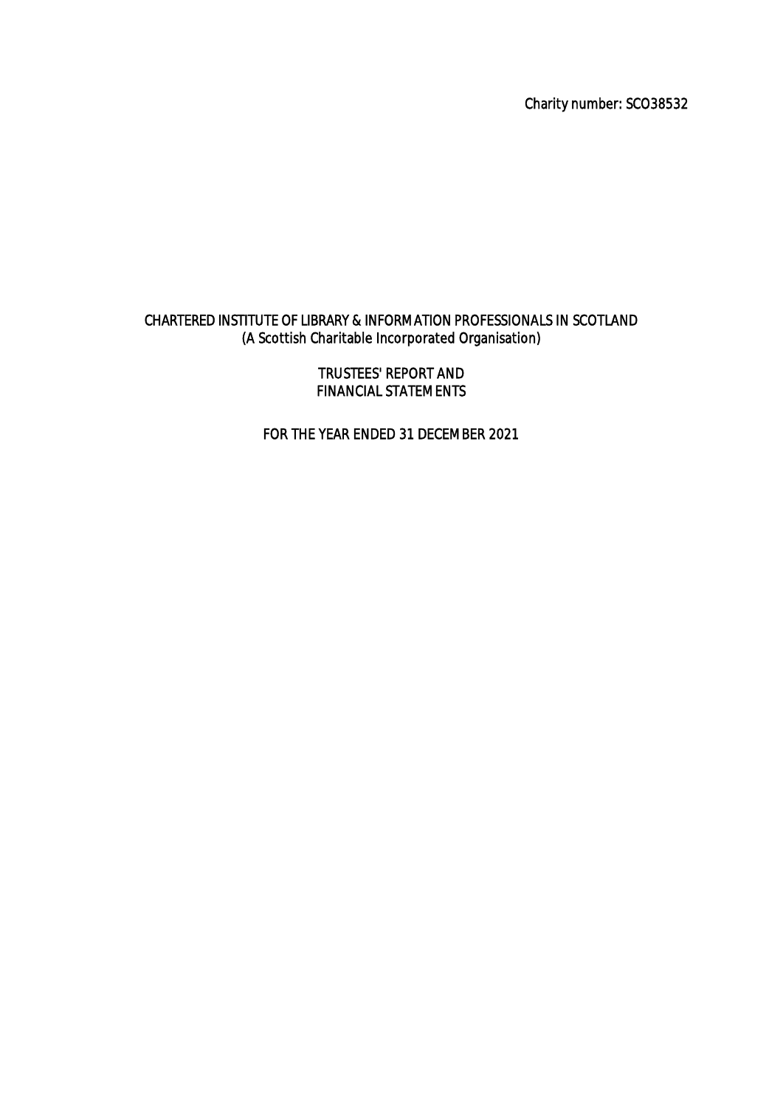Charity number: SCO38532

# CHARTERED INSTITUTE OF LIBRARY & INFORMATION PROFESSIONALS IN SCOTLAND (A Scottish Charitable Incorporated Organisation)

TRUSTEES' REPORT AND FINANCIAL STATEMENTS

FOR THE YEAR ENDED 31 DECEMBER 2021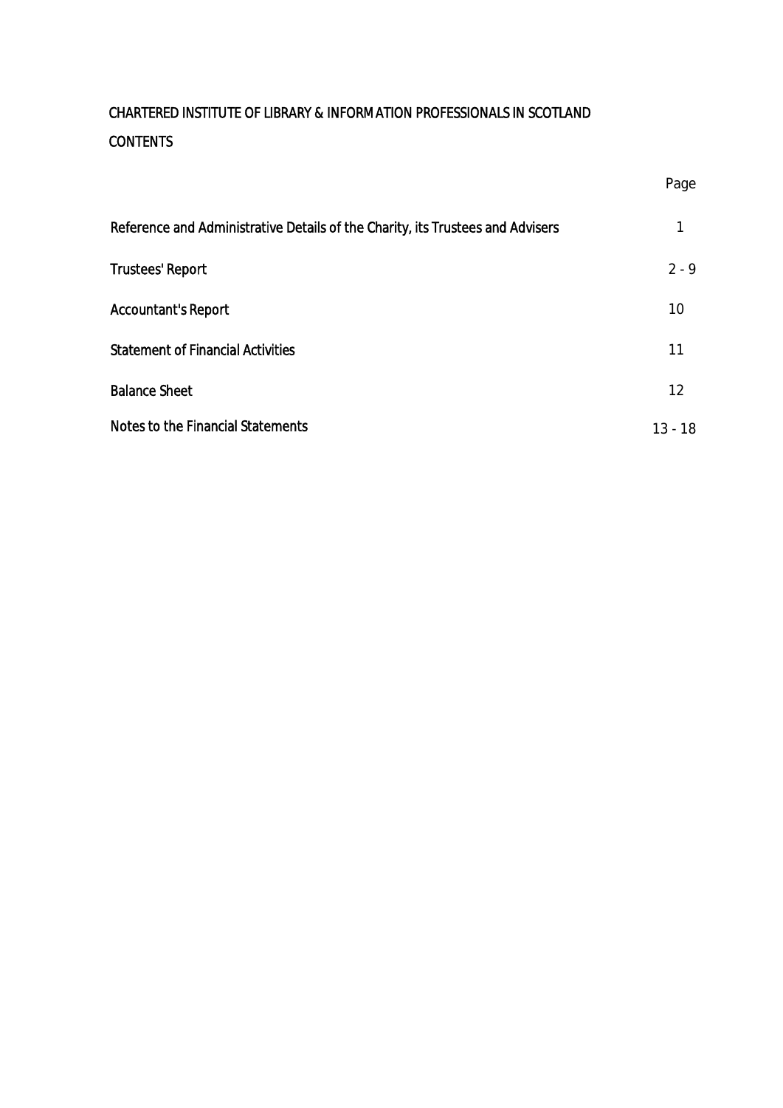| Reference and Administrative Details of the Charity, its Trustees and Advisers |           |
|--------------------------------------------------------------------------------|-----------|
| <b>Trustees' Report</b>                                                        | $2 - 9$   |
| <b>Accountant's Report</b>                                                     | 10        |
| <b>Statement of Financial Activities</b>                                       | 11        |
| <b>Balance Sheet</b>                                                           | 12        |
| <b>Notes to the Financial Statements</b>                                       | $13 - 18$ |

Page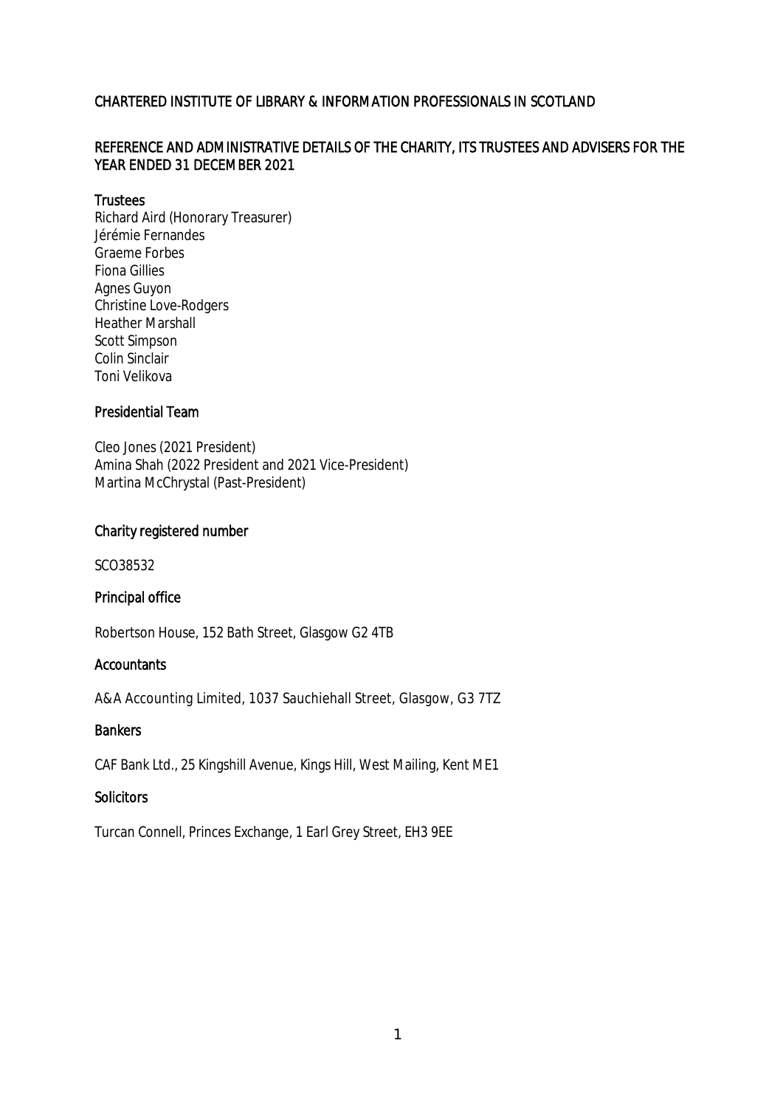# REFERENCE AND ADMINISTRATIVE DETAILS OF THE CHARITY, ITS TRUSTEES AND ADVISERS FOR THE YEAR ENDED 31 DECEMBER 2021

### **Trustees**

Richard Aird (Honorary Treasurer) Jérémie Fernandes Graeme Forbes Fiona Gillies Agnes Guyon Christine Love-Rodgers Heather Marshall Scott Simpson Colin Sinclair Toni Velikova

### Presidential Team

Cleo Jones (2021 President) Amina Shah (2022 President and 2021 Vice-President) Martina McChrystal (Past-President)

### Charity registered number

SCO38532

# Principal office

Robertson House, 152 Bath Street, Glasgow G2 4TB

# **Accountants**

A&A Accounting Limited, 1037 Sauchiehall Street, Glasgow, G3 7TZ

### **Bankers**

CAF Bank Ltd., 25 Kingshill Avenue, Kings Hill, West Mailing, Kent ME1

### **Solicitors**

Turcan Connell, Princes Exchange, 1 Earl Grey Street, EH3 9EE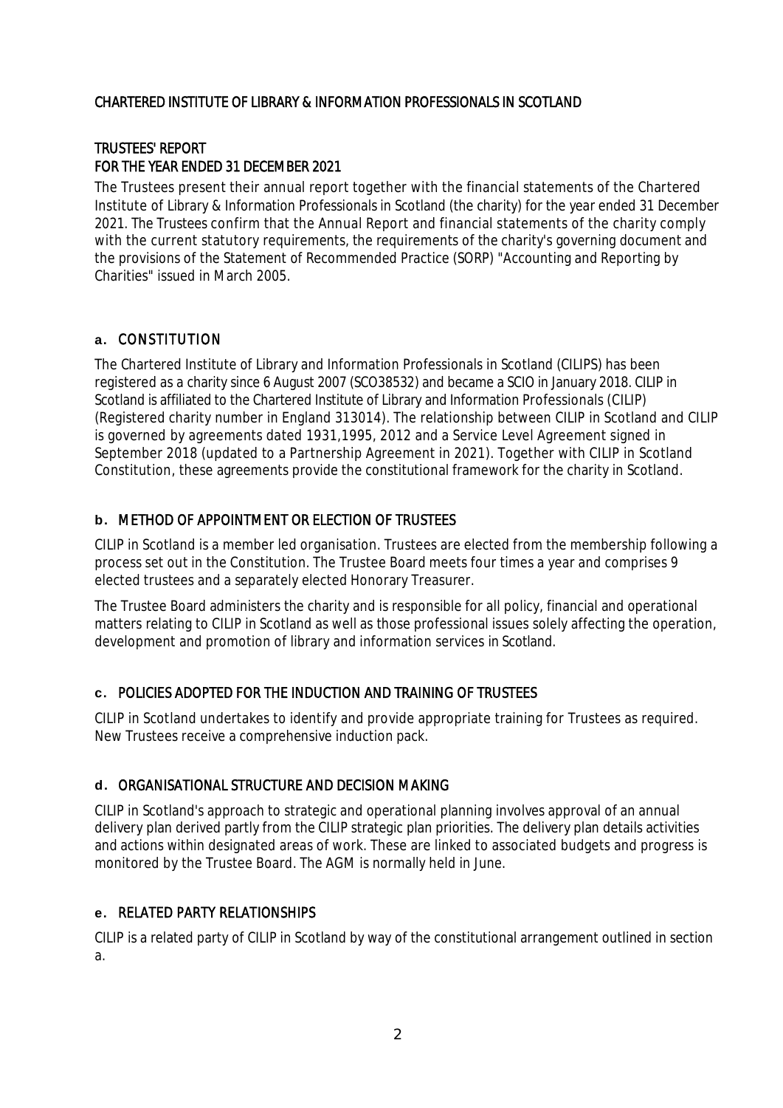# TRUSTEES' REPORT FOR THE YEAR ENDED 31 DECEMBER 2021

The Trustees present their annual report together with the financial statements of the Chartered Institute of Library & Information Professionals in Scotland (the charity) for the year ended 31 December 2021. The Trustees confirm that the Annual Report and financial statements of the charity comply with the current statutory requirements, the requirements of the charity's governing document and the provisions of the Statement of Recommended Practice (SORP) "Accounting and Reporting by Charities" issued in March 2005.

# **a.** CONSTITUTION

The Chartered Institute of Library and Information Professionals in Scotland (CILIPS) has been registered as a charity since 6 August 2007 (SCO38532) and became a SCIO in January 2018. CILIP in Scotland is affiliated to the Chartered Institute of Library and Information Professionals (CILIP) (Registered charity number in England 313014). The relationship between CILIP in Scotland and CILIP is governed by agreements dated 1931,1995, 2012 and a Service Level Agreement signed in September 2018 (updated to a Partnership Agreement in 2021). Together with CILIP in Scotland Constitution, these agreements provide the constitutional framework for the charity in Scotland.

# **b.** METHOD OF APPOINTMENT OR ELECTION OF TRUSTEES

CILIP in Scotland is a member led organisation. Trustees are elected from the membership following a process set out in the Constitution. The Trustee Board meets four times a year and comprises 9 elected trustees and a separately elected Honorary Treasurer.

The Trustee Board administers the charity and is responsible for all policy, financial and operational matters relating to CILIP in Scotland as well as those professional issues solely affecting the operation, development and promotion of library and information services in Scotland.

# **c.** POLICIES ADOPTED FOR THE INDUCTION AND TRAINING OF TRUSTEES

CILIP in Scotland undertakes to identify and provide appropriate training for Trustees as required. New Trustees receive a comprehensive induction pack.

# **d.** ORGANISATIONAL STRUCTURE AND DECISION MAKING

CILIP in Scotland's approach to strategic and operational planning involves approval of an annual delivery plan derived partly from the CILIP strategic plan priorities. The delivery plan details activities and actions within designated areas of work. These are linked to associated budgets and progress is monitored by the Trustee Board. The AGM is normally held in June.

# **e.** RELATED PARTY RELATIONSHIPS

CILIP is a related party of CILIP in Scotland by way of the constitutional arrangement outlined in section a.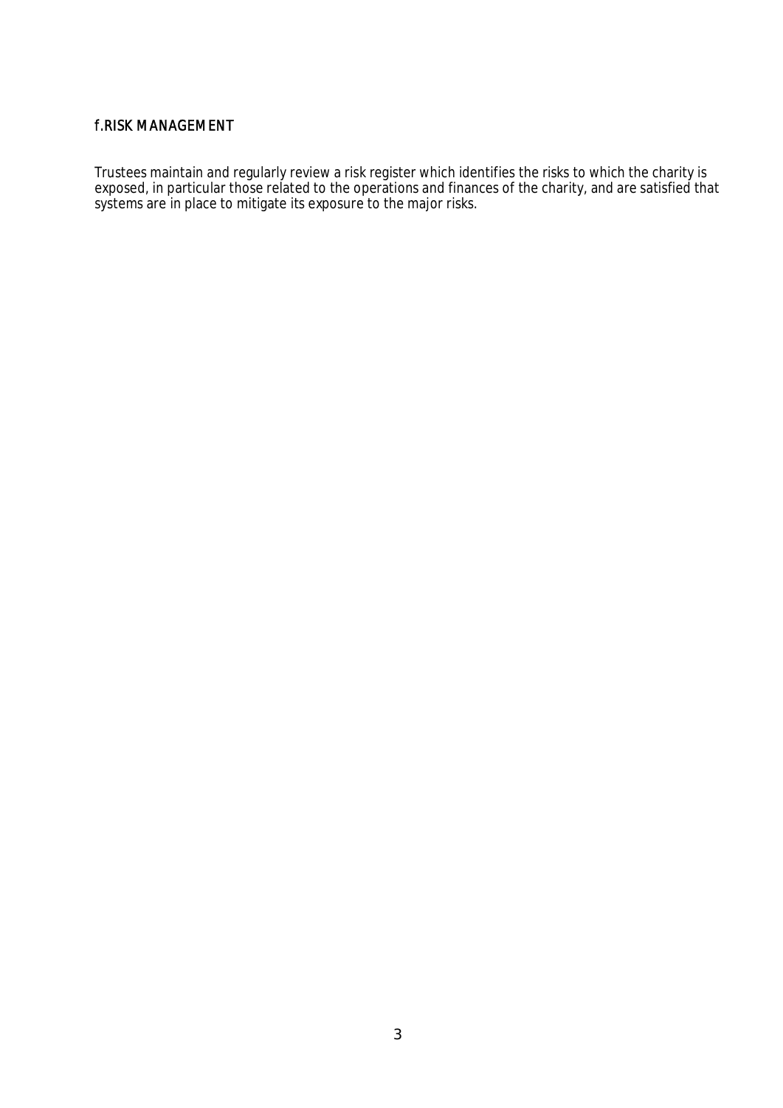# f.RISK MANAGEMENT

Trustees maintain and regularly review a risk register which identifies the risks to which the charity is exposed, in particular those related to the operations and finances of the charity, and are satisfied that systems are in place to mitigate its exposure to the major risks.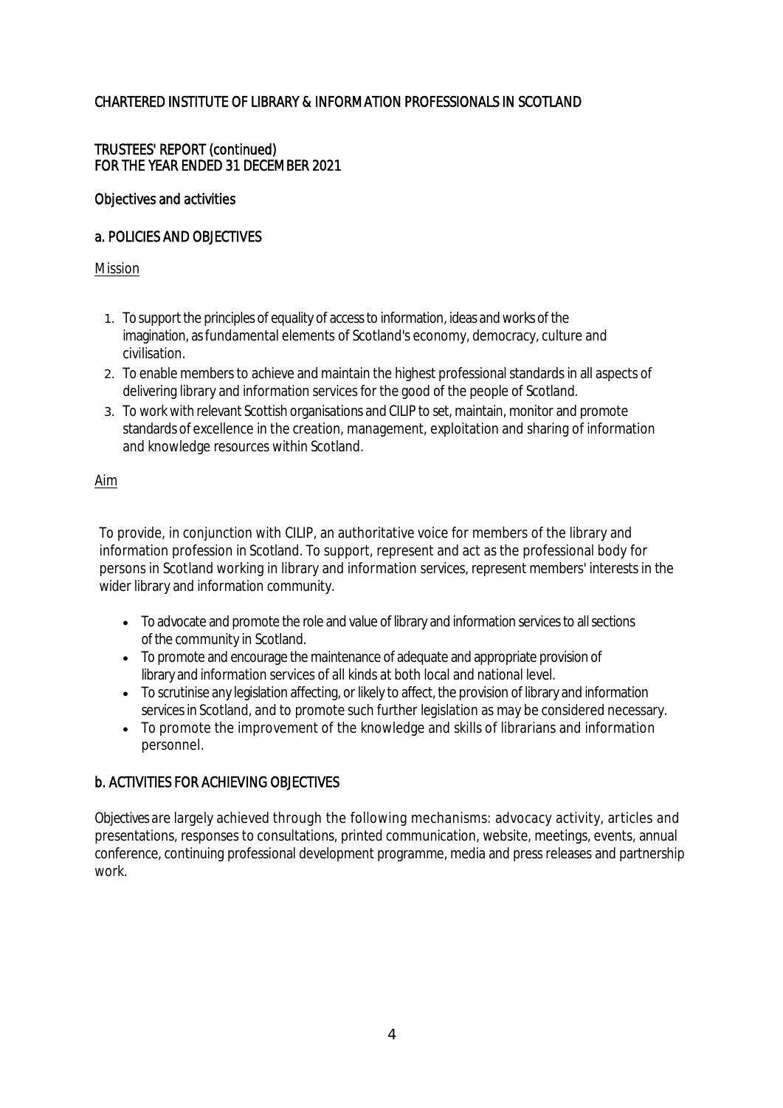# TRUSTEES' REPORT (continued) FOR THE YEAR ENDED 31 DECEMBER 2021

### Objectives and activities

### a. POLICIES AND OBJECTIVES

### Mission

- 1. To support the principles of equality of access to information, ideas and works of the imagination, as fundamental elements of Scotland's economy, democracy, culture and civilisation.
- 2. To enable members to achieve and maintain the highest professional standards in all aspects of delivering library and information services for the good of the people of Scotland.
- 3. To work with relevant Scottish organisations and CILIP to set, maintain, monitor and promote standards of excellence in the creation, management, exploitation and sharing of information and knowledge resources within Scotland.

# Aim

To provide, in conjunction with CILIP, an authoritative voice for members of the library and information profession in Scotland. To support, represent and act as the professional body for persons in Scotland working in library and information services, represent members' interests in the wider library and information community.

- To advocate and promote the role and value of library and information services to all sections of the community in Scotland.
- To promote and encourage the maintenance of adequate and appropriate provision of library and information services of all kinds at both local and national level.
- To scrutinise any legislation affecting, or likely to affect, the provision of library and information services in Scotland, and to promote such further legislation as may be considered necessary.
- To promote the improvement of the knowledge and skills of librarians and information personnel.

# b. ACTIVITIES FOR ACHIEVING OBJECTIVES

Objectives are largely achieved through the following mechanisms: advocacy activity, articles and presentations, responses to consultations, printed communication, website, meetings, events, annual conference, continuing professional development programme, media and press releases and partnership work.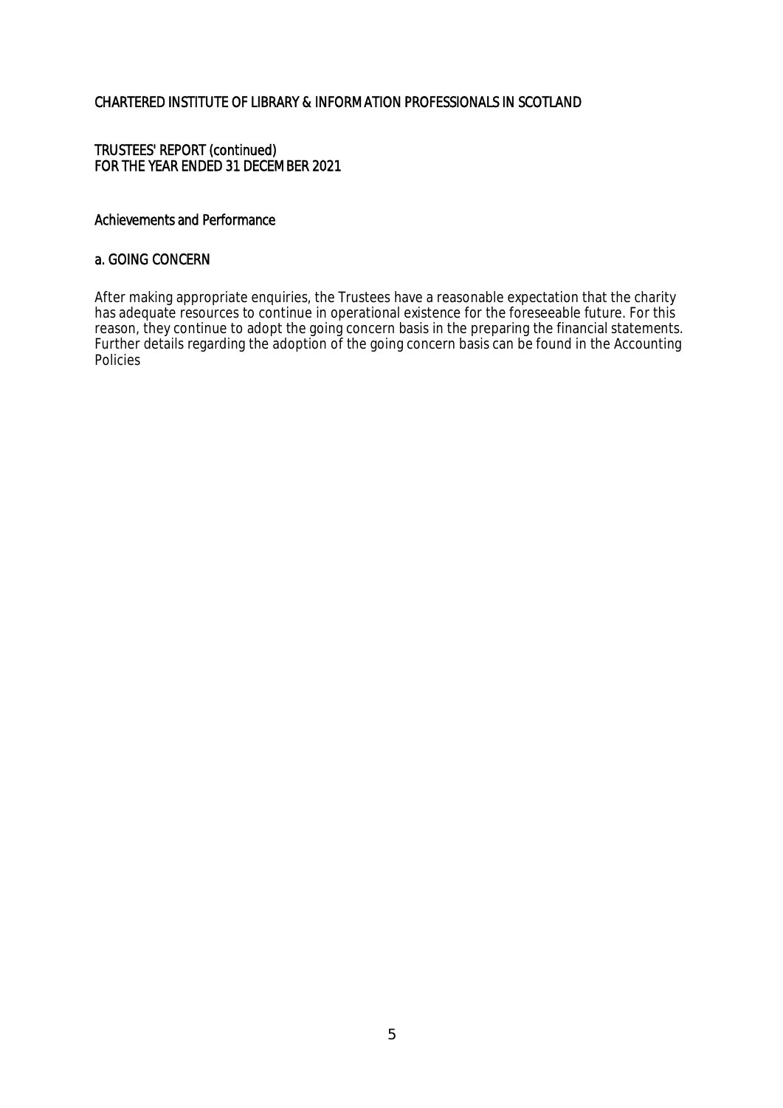### TRUSTEES' REPORT (continued) FOR THE YEAR ENDED 31 DECEMBER 2021

### Achievements and Performance

### a. GOING CONCERN

After making appropriate enquiries, the Trustees have a reasonable expectation that the charity has adequate resources to continue in operational existence for the foreseeable future. For this reason, they continue to adopt the going concern basis in the preparing the financial statements. Further details regarding the adoption of the going concern basis can be found in the Accounting Policies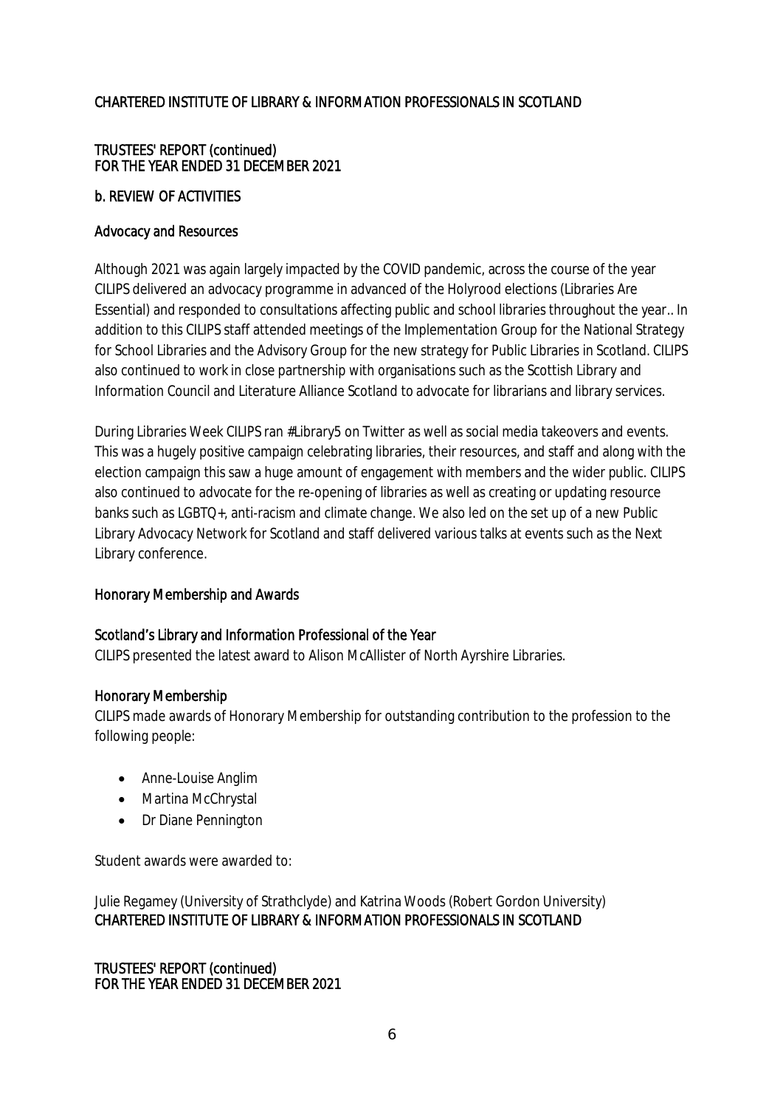# TRUSTEES' REPORT (continued) FOR THE YEAR ENDED 31 DECEMBER 2021

# b. REVIEW OF ACTIVITIES

# Advocacy and Resources

Although 2021 was again largely impacted by the COVID pandemic, across the course of the year CILIPS delivered an advocacy programme in advanced of the Holyrood elections (Libraries Are Essential) and responded to consultations affecting public and school libraries throughout the year.. In addition to this CILIPS staff attended meetings of the Implementation Group for the National Strategy for School Libraries and the Advisory Group for the new strategy for Public Libraries in Scotland. CILIPS also continued to work in close partnership with organisations such as the Scottish Library and Information Council and Literature Alliance Scotland to advocate for librarians and library services.

During Libraries Week CILIPS ran #Library5 on Twitter as well as social media takeovers and events. This was a hugely positive campaign celebrating libraries, their resources, and staff and along with the election campaign this saw a huge amount of engagement with members and the wider public. CILIPS also continued to advocate for the re-opening of libraries as well as creating or updating resource banks such as LGBTQ+, anti-racism and climate change. We also led on the set up of a new Public Library Advocacy Network for Scotland and staff delivered various talks at events such as the Next Library conference.

# Honorary Membership and Awards

### Scotland's Library and Information Professional of the Year

CILIPS presented the latest award to Alison McAllister of North Ayrshire Libraries.

### Honorary Membership

CILIPS made awards of Honorary Membership for outstanding contribution to the profession to the following people:

- Anne-Louise Anglim
- Martina McChrystal
- Dr Diane Pennington

Student awards were awarded to:

Julie Regamey (University of Strathclyde) and Katrina Woods (Robert Gordon University) CHARTERED INSTITUTE OF LIBRARY & INFORMATION PROFESSIONALS IN SCOTLAND

TRUSTEES' REPORT (continued) FOR THE YEAR ENDED 31 DECEMBER 2021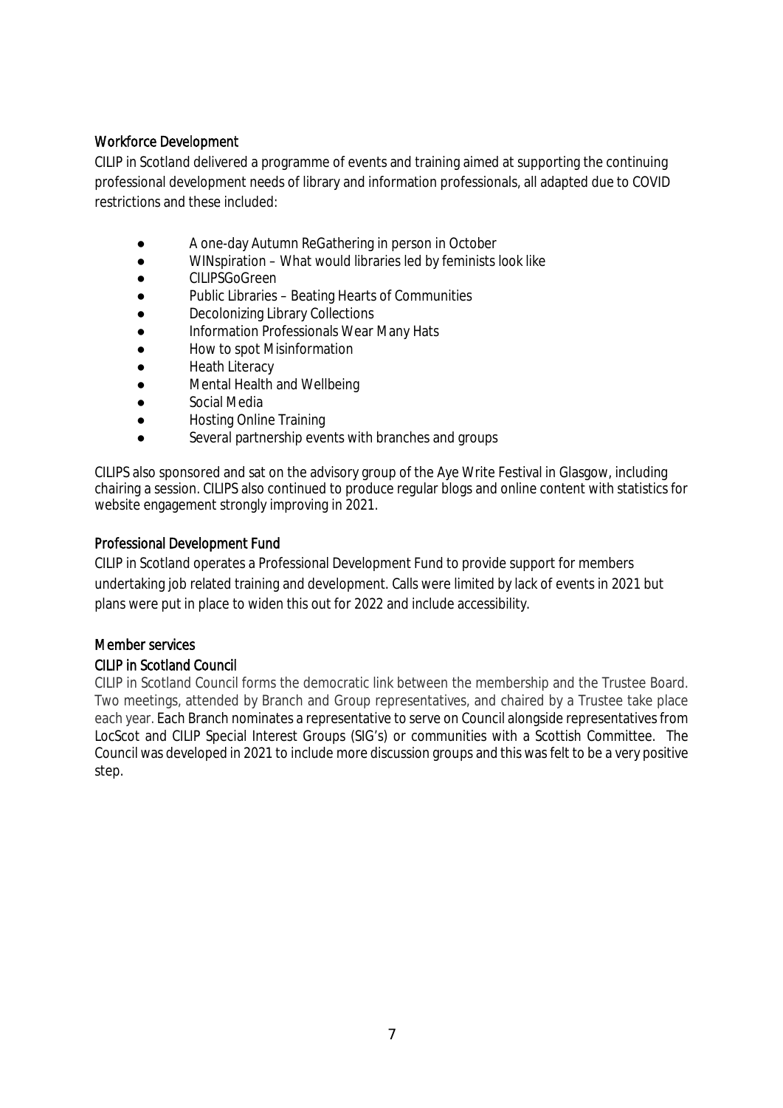# Workforce Development

CILIP in Scotland delivered a programme of events and training aimed at supporting the continuing professional development needs of library and information professionals, all adapted due to COVID restrictions and these included:

- A one-day Autumn ReGathering in person in October
- WINspiration What would libraries led by feminists look like
- CILIPSGoGreen
- Public Libraries Beating Hearts of Communities
- **Decolonizing Library Collections**
- Information Professionals Wear Many Hats
- How to spot Misinformation
- **Heath Literacy**
- **Mental Health and Wellbeing**
- Social Media
- **Hosting Online Training**
- Several partnership events with branches and groups

CILIPS also sponsored and sat on the advisory group of the Aye Write Festival in Glasgow, including chairing a session. CILIPS also continued to produce regular blogs and online content with statistics for website engagement strongly improving in 2021.

# Professional Development Fund

CILIP in Scotland operates a Professional Development Fund to provide support for members undertaking job related training and development. Calls were limited by lack of events in 2021 but plans were put in place to widen this out for 2022 and include accessibility.

# Member services

# CILIP in Scotland Council

CILIP in Scotland Council forms the democratic link between the membership and the Trustee Board. Two meetings, attended by Branch and Group representatives, and chaired by a Trustee take place each year. Each Branch nominates a representative to serve on Council alongside representatives from LocScot and CILIP Special Interest Groups (SIG's) or communities with a Scottish Committee. The Council was developed in 2021 to include more discussion groups and this was felt to be a very positive step.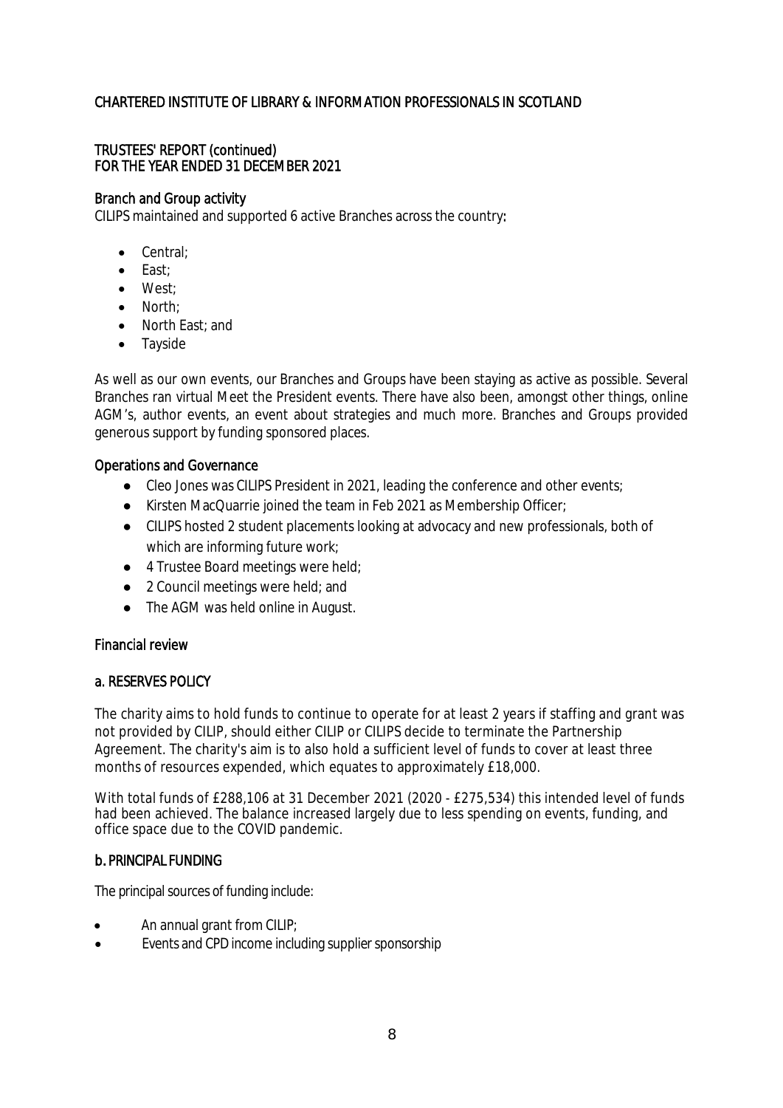# TRUSTEES' REPORT (continued) FOR THE YEAR ENDED 31 DECEMBER 2021

### Branch and Group activity

CILIPS maintained and supported 6 active Branches across the country:

- Central;
- $\bullet$  Fast:
- West:
- North:
- North East: and
- Tavside

As well as our own events, our Branches and Groups have been staying as active as possible. Several Branches ran virtual Meet the President events. There have also been, amongst other things, online AGM's, author events, an event about strategies and much more. Branches and Groups provided generous support by funding sponsored places.

### Operations and Governance

- Cleo Jones was CILIPS President in 2021, leading the conference and other events;
- Kirsten MacQuarrie joined the team in Feb 2021 as Membership Officer;
- CILIPS hosted 2 student placements looking at advocacy and new professionals, both of which are informing future work;
- 4 Trustee Board meetings were held;
- 2 Council meetings were held; and
- The AGM was held online in August.

### Financial review

### a. RESERVES POLICY

The charity aims to hold funds to continue to operate for at least 2 years if staffing and grant was not provided by CILIP, should either CILIP or CILIPS decide to terminate the Partnership Agreement. The charity's aim is to also hold a sufficient level of funds to cover at least three months of resources expended, which equates to approximately £18,000.

With total funds of £288,106 at 31 December 2021 (2020 - £275,534) this intended level of funds had been achieved. The balance increased largely due to less spending on events, funding, and office space due to the COVID pandemic.

# b*.* PRINCIPAL FUNDING

The principal sources of funding include:

- An annual grant from CILIP;
- Events and CPD income including supplier sponsorship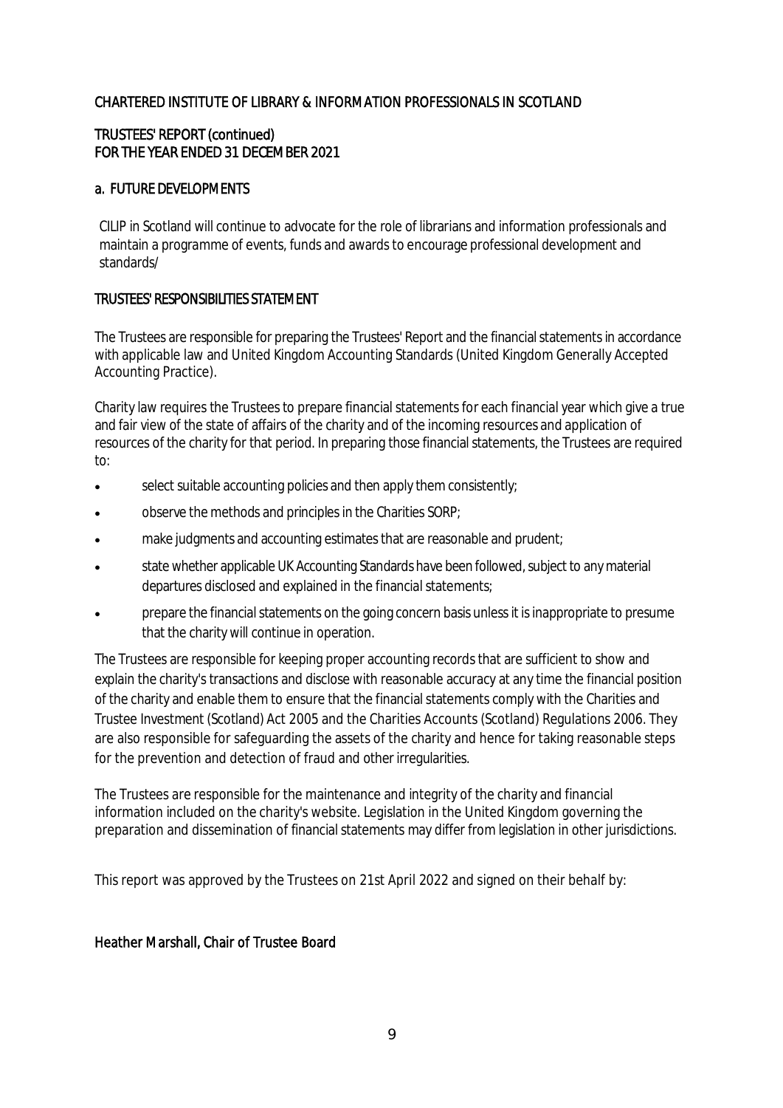# TRUSTEES' REPORT (continued) FOR THE YEAR ENDED 31 DECEMBER 2021

# a. FUTURE DEVELOPMENTS

CILIP in Scotland will continue to advocate for the role of librarians and information professionals and maintain a programme of events, funds and awards to encourage professional development and standards/

# TRUSTEES' RESPONSIBILITIES STATEMENT

The Trustees are responsible for preparing the Trustees' Report and the financial statements in accordance with applicable law and United Kingdom Accounting Standards (United Kingdom Generally Accepted Accounting Practice).

Charity law requires the Trustees to prepare financial statements for each financial year which give a true and fair view of the state of affairs of the charity and of the incoming resources and application of resources of the charity for that period. In preparing those financial statements, the Trustees are required to:

- select suitable accounting policies and then apply them consistently;
- observe the methods and principles in the Charities SORP;
- make judgments and accounting estimates that are reasonable and prudent;
- state whether applicable UK Accounting Standards have been followed, subject to any material departures disclosed and explained in the financial statements;
- prepare the financial statements on the going concern basis unless it is inappropriate to presume that the charity will continue in operation.

The Trustees are responsible for keeping proper accounting records that are sufficient to show and explain the charity's transactions and disclose with reasonable accuracy at any time the financial position of the charity and enable them to ensure that the financial statements comply with the Charities and Trustee Investment (Scotland) Act 2005 and the Charities Accounts (Scotland) Regulations 2006. They are also responsible for safeguarding the assets of the charity and hence for taking reasonable steps for the prevention and detection of fraud and other irregularities.

The Trustees are responsible for the maintenance and integrity of the charity and financial information included on the charity's website. Legislation in the United Kingdom governing the preparation and dissemination of financial statements may differ from legislation in other jurisdictions.

This report was approved by the Trustees on 21st April 2022 and signed on their behalf by:

# Heather Marshall, Chair of Trustee Board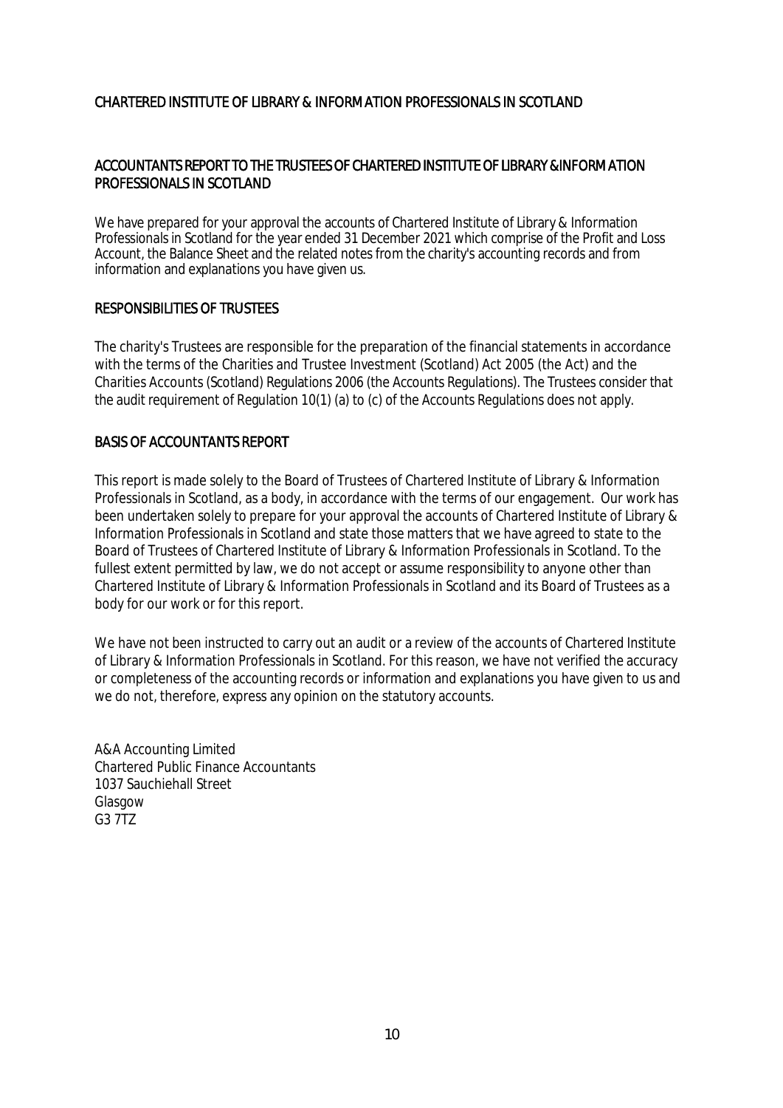# ACCOUNTANTS REPORT TO THE TRUSTEES OF CHARTERED INSTITUTE OF LIBRARY &INFORMATION PROFESSIONALS IN SCOTLAND

We have prepared for your approval the accounts of Chartered Institute of Library & Information Professionals in Scotland for the year ended 31 December 2021 which comprise of the Profit and Loss Account, the Balance Sheet and the related notes from the charity's accounting records and from information and explanations you have given us.

### RESPONSIBILITIES OF TRUSTEES

The charity's Trustees are responsible for the preparation of the financial statements in accordance with the terms of the Charities and Trustee Investment (Scotland) Act 2005 (the Act) and the Charities Accounts (Scotland) Regulations 2006 (the Accounts Regulations). The Trustees consider that the audit requirement of Regulation 10(1) (a) to (c) of the Accounts Regulations does not apply.

### BASIS OF ACCOUNTANTS REPORT

This report is made solely to the Board of Trustees of Chartered Institute of Library & Information Professionals in Scotland, as a body, in accordance with the terms of our engagement. Our work has been undertaken solely to prepare for your approval the accounts of Chartered Institute of Library & Information Professionals in Scotland and state those matters that we have agreed to state to the Board of Trustees of Chartered Institute of Library & Information Professionals in Scotland. To the fullest extent permitted by law, we do not accept or assume responsibility to anyone other than Chartered Institute of Library & Information Professionals in Scotland and its Board of Trustees as a body for our work or for this report.

We have not been instructed to carry out an audit or a review of the accounts of Chartered Institute of Library & Information Professionals in Scotland. For this reason, we have not verified the accuracy or completeness of the accounting records or information and explanations you have given to us and we do not, therefore, express any opinion on the statutory accounts.

A&A Accounting Limited Chartered Public Finance Accountants 1037 Sauchiehall Street Glasgow G3 7TZ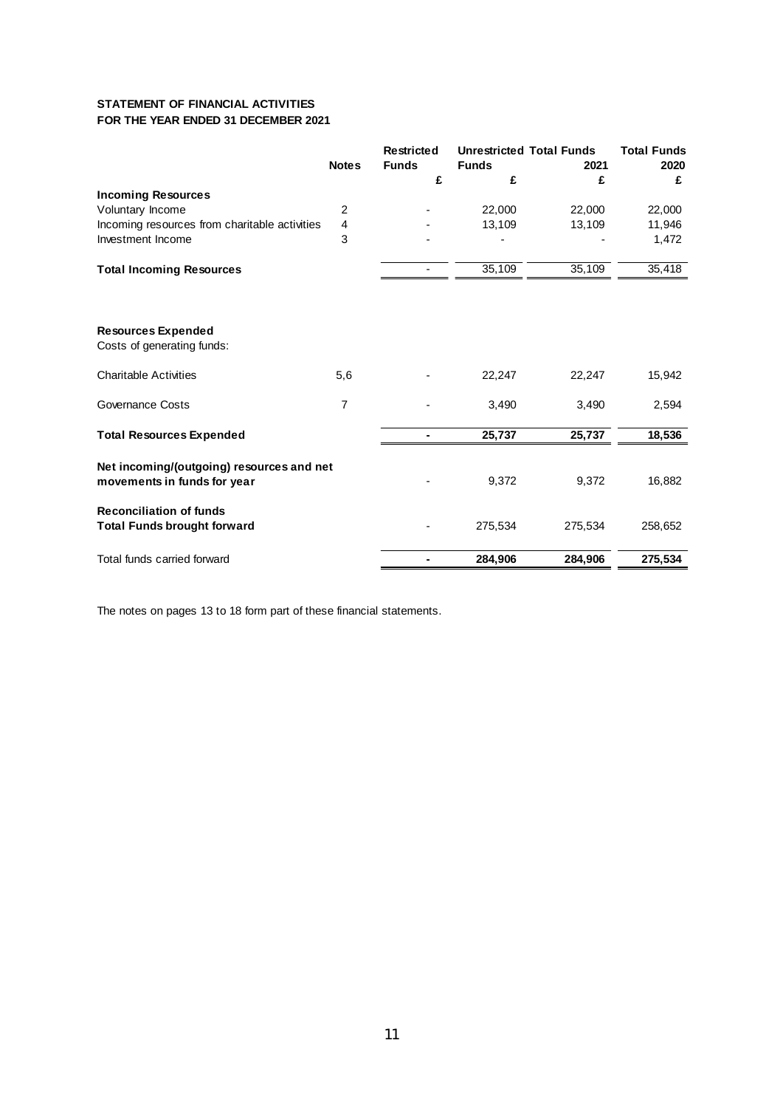### **STATEMENT OF FINANCIAL ACTIVITIES FOR THE YEAR ENDED 31 DECEMBER 2021**

|                                                                          |                | Restricted   | <b>Unrestricted Total Funds</b> |         | <b>Total Funds</b> |
|--------------------------------------------------------------------------|----------------|--------------|---------------------------------|---------|--------------------|
|                                                                          | <b>Notes</b>   | <b>Funds</b> | <b>Funds</b>                    | 2021    | 2020               |
|                                                                          |                | £            | £                               | £       | £                  |
| <b>Incoming Resources</b>                                                |                |              |                                 |         |                    |
| Voluntary Income                                                         | $\overline{2}$ |              | 22,000                          | 22,000  | 22,000             |
| Incoming resources from charitable activities                            | 4              |              | 13,109                          | 13,109  | 11,946             |
| Investment Income                                                        | 3              |              |                                 |         | 1,472              |
| <b>Total Incoming Resources</b>                                          |                |              | 35,109                          | 35,109  | 35,418             |
|                                                                          |                |              |                                 |         |                    |
| <b>Resources Expended</b><br>Costs of generating funds:                  |                |              |                                 |         |                    |
| <b>Charitable Activities</b>                                             | 5,6            |              | 22,247                          | 22,247  | 15,942             |
| <b>Governance Costs</b>                                                  | 7              |              | 3,490                           | 3,490   | 2,594              |
| <b>Total Resources Expended</b>                                          |                |              | 25,737                          | 25,737  | 18,536             |
| Net incoming/(outgoing) resources and net<br>movements in funds for year |                |              | 9,372                           | 9,372   | 16,882             |
| <b>Reconciliation of funds</b><br><b>Total Funds brought forward</b>     |                |              | 275,534                         | 275,534 | 258,652            |
| Total funds carried forward                                              |                |              | 284,906                         | 284,906 | 275,534            |

The notes on pages 13 to 18 form part of these financial statements.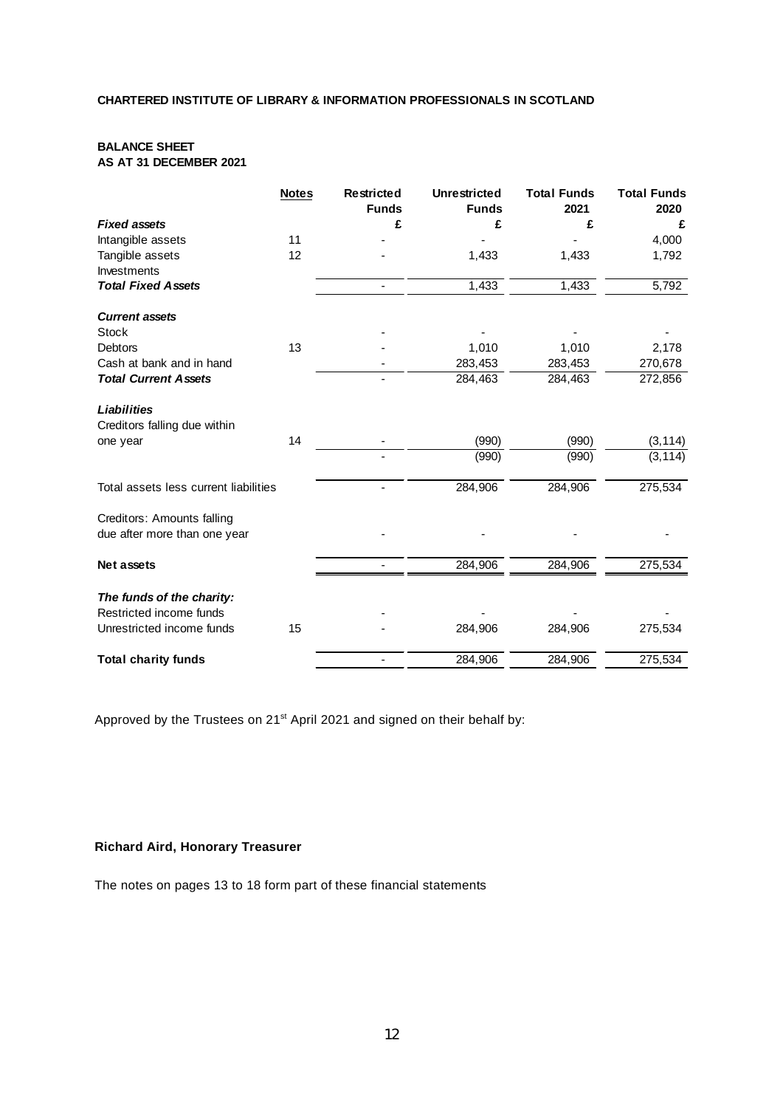# **BALANCE SHEET**

**AS AT 31 DECEMBER 2021**

|                                       | <b>Notes</b> | <b>Restricted</b><br><b>Funds</b> | <b>Unrestricted</b><br><b>Funds</b> | <b>Total Funds</b><br>2021 | <b>Total Funds</b><br>2020 |
|---------------------------------------|--------------|-----------------------------------|-------------------------------------|----------------------------|----------------------------|
| <b>Fixed assets</b>                   |              | £                                 | £                                   | £                          | £                          |
| Intangible assets                     | 11           |                                   |                                     |                            | 4,000                      |
| Tangible assets                       | 12           |                                   | 1,433                               | 1,433                      | 1,792                      |
| <b>Investments</b>                    |              |                                   |                                     |                            |                            |
| <b>Total Fixed Assets</b>             |              |                                   | 1,433                               | 1,433                      | 5,792                      |
| <b>Current assets</b>                 |              |                                   |                                     |                            |                            |
| <b>Stock</b>                          |              |                                   |                                     |                            |                            |
| <b>Debtors</b>                        | 13           |                                   | 1,010                               | 1,010                      | 2,178                      |
| Cash at bank and in hand              |              |                                   | 283,453                             | 283,453                    | 270,678                    |
| <b>Total Current Assets</b>           |              |                                   | 284,463                             | 284,463                    | 272,856                    |
| Liabilities                           |              |                                   |                                     |                            |                            |
| Creditors falling due within          |              |                                   |                                     |                            |                            |
| one year                              | 14           |                                   | (990)                               | (990)                      | (3, 114)                   |
|                                       |              |                                   | (990)                               | (990)                      | (3, 114)                   |
| Total assets less current liabilities |              |                                   | 284,906                             | 284,906                    | 275,534                    |
| Creditors: Amounts falling            |              |                                   |                                     |                            |                            |
| due after more than one year          |              |                                   |                                     |                            |                            |
| <b>Net assets</b>                     |              |                                   | 284,906                             | 284,906                    | 275,534                    |
| The funds of the charity:             |              |                                   |                                     |                            |                            |
| Restricted income funds               |              |                                   |                                     |                            |                            |
| Unrestricted income funds             | 15           |                                   | 284,906                             | 284,906                    | 275,534                    |
| <b>Total charity funds</b>            |              |                                   | 284,906                             | 284,906                    | 275,534                    |

Approved by the Trustees on 21<sup>st</sup> April 2021 and signed on their behalf by:

### **Richard Aird, Honorary Treasurer**

The notes on pages 13 to 18 form part of these financial statements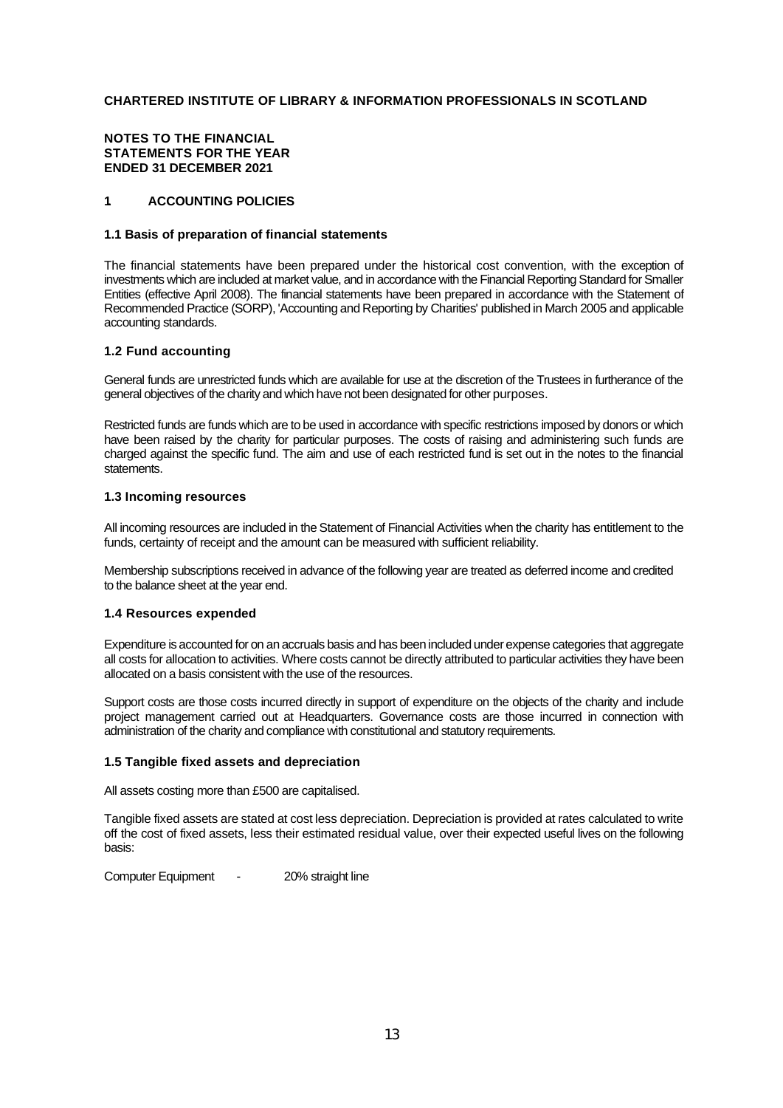#### **NOTES TO THE FINANCIAL STATEMENTS FOR THE YEAR ENDED 31 DECEMBER 2021**

#### **1. ACCOUNTING POLICIES**

#### **1.1 Basis of preparation of financial statements**

The financial statements have been prepared under the historical cost convention, with the exception of investments which are included at market value, and in accordance with the Financial Reporting Standard for Smaller Entities (effective April 2008). The financial statements have been prepared in accordance with the Statement of Recommended Practice (SORP), 'Accounting and Reporting by Charities' published in March 2005 and applicable accounting standards.

#### **1.2 Fund accounting**

General funds are unrestricted funds which are available for use at the discretion of the Trustees in furtherance of the general objectives of the charity and which have not been designated for other purposes.

Restricted funds are funds which are to be used in accordance with specific restrictions imposed by donors or which have been raised by the charity for particular purposes. The costs of raising and administering such funds are charged against the specific fund. The aim and use of each restricted fund is set out in the notes to the financial statements.

#### **1.3 Incoming resources**

All incoming resources are included in the Statement of Financial Activities when the charity has entitlement to the funds, certainty of receipt and the amount can be measured with sufficient reliability.

Membership subscriptions received in advance of the following year are treated as deferred income and credited to the balance sheet at the year end.

#### **1.4 Resources expended**

Expenditure is accounted for on an accruals basis and has been included under expense categories that aggregate all costs for allocation to activities. Where costs cannot be directly attributed to particular activities they have been allocated on a basis consistent with the use of the resources.

Support costs are those costs incurred directly in support of expenditure on the objects of the charity and include project management carried out at Headquarters. Governance costs are those incurred in connection with administration of the charity and compliance with constitutional and statutory requirements.

#### **1.5 Tangible fixed assets and depreciation**

All assets costing more than £500 are capitalised.

Tangible fixed assets are stated at cost less depreciation. Depreciation is provided at rates calculated to write off the cost of fixed assets, less their estimated residual value, over their expected useful lives on the following basis:

Computer Equipment - 20% straight line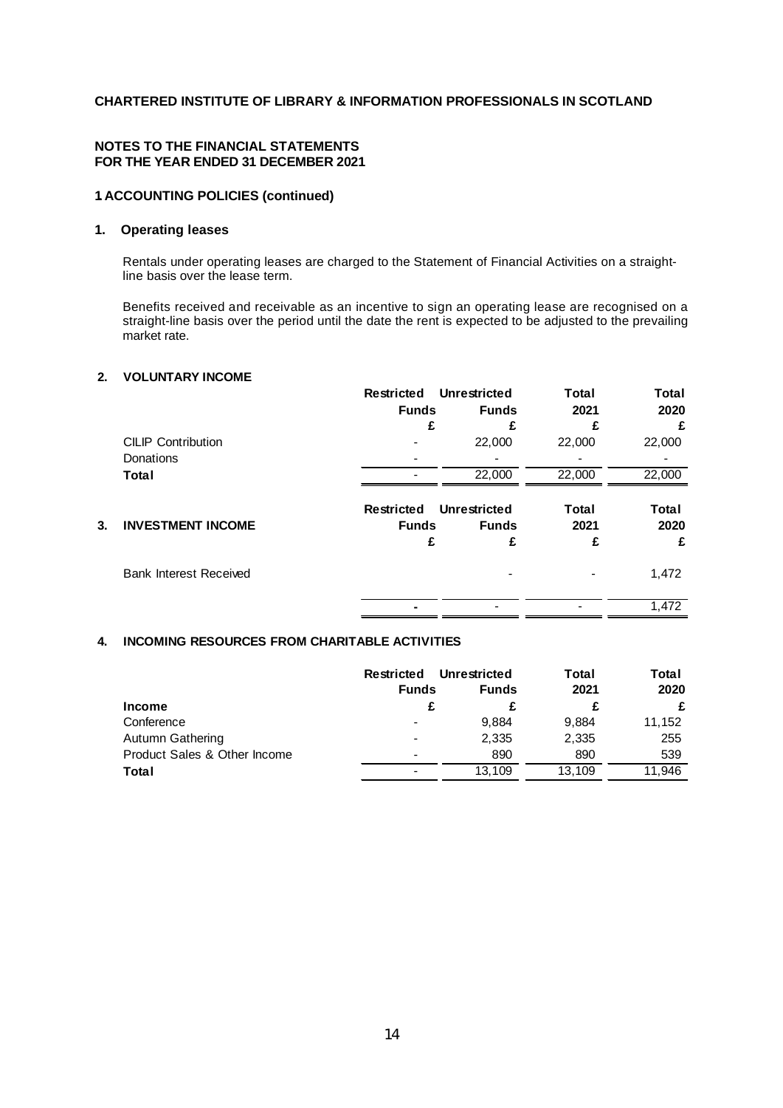#### **NOTES TO THE FINANCIAL STATEMENTS FOR THE YEAR ENDED 31 DECEMBER 2021**

### **1. ACCOUNTING POLICIES (continued)**

#### **1. Operating leases**

Rentals under operating leases are charged to the Statement of Financial Activities on a straightline basis over the lease term.

Benefits received and receivable as an incentive to sign an operating lease are recognised on a straight-line basis over the period until the date the rent is expected to be adjusted to the prevailing market rate.

#### **2. VOLUNTARY INCOME**

|    |                               | <b>Restricted</b>                 | Unrestricted                 | Total         | <b>Total</b>  |
|----|-------------------------------|-----------------------------------|------------------------------|---------------|---------------|
|    |                               | <b>Funds</b>                      | <b>Funds</b>                 | 2021          | 2020          |
|    |                               | £                                 | £                            | £             | £             |
|    | <b>CILIP Contribution</b>     |                                   | 22,000                       | 22,000        | 22,000        |
|    | Donations                     |                                   |                              |               |               |
|    | Total                         |                                   | 22,000                       | 22,000        | 22,000        |
| 3. | <b>INVESTMENT INCOME</b>      | <b>Restricted</b><br><b>Funds</b> | Unrestricted<br><b>Funds</b> | Total<br>2021 | Total<br>2020 |
|    |                               |                                   | £                            | £             | £             |
|    | <b>Bank Interest Received</b> |                                   |                              |               | 1,472         |
|    |                               |                                   |                              |               | 1,472         |
|    |                               |                                   |                              |               |               |

#### **4. INCOMING RESOURCES FROM CHARITABLE ACTIVITIES**

|                              | Unrestricted<br>Restricted |              | Total  | Total  |
|------------------------------|----------------------------|--------------|--------|--------|
|                              | <b>Funds</b>               | <b>Funds</b> | 2021   | 2020   |
| <b>Income</b>                |                            |              |        | £      |
| Conference                   |                            | 9.884        | 9,884  | 11,152 |
| <b>Autumn Gathering</b>      |                            | 2,335        | 2,335  | 255    |
| Product Sales & Other Income |                            | 890          | 890    | 539    |
| Total                        |                            | 13.109       | 13.109 | 11.946 |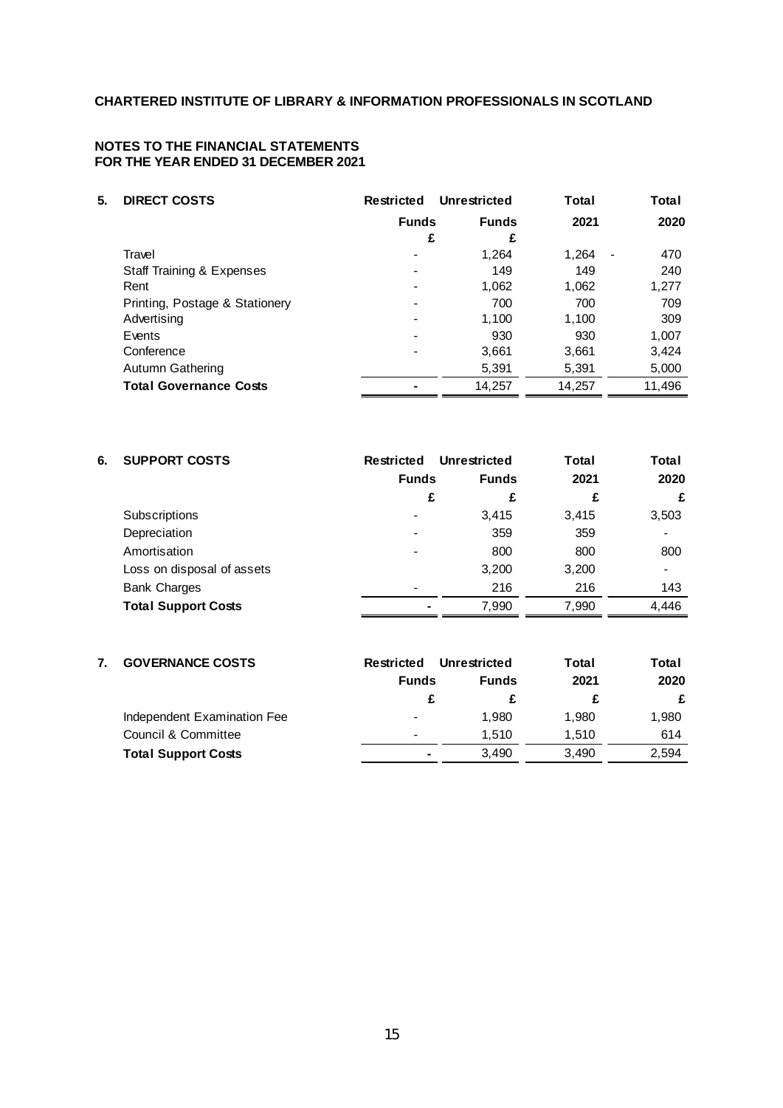#### **NOTES TO THE FINANCIAL STATEMENTS FOR THE YEAR ENDED 31 DECEMBER 2021**

| 5. | <b>DIRECT COSTS</b>            | Restricted   | Unrestricted | Total                             | Total  |
|----|--------------------------------|--------------|--------------|-----------------------------------|--------|
|    |                                | <b>Funds</b> | <b>Funds</b> | 2021                              | 2020   |
|    |                                | £            | £            |                                   |        |
|    | Travel                         |              | 1,264        | 1,264<br>$\overline{\phantom{a}}$ | 470    |
|    | Staff Training & Expenses      |              | 149          | 149                               | 240    |
|    | Rent                           |              | 1,062        | 1,062                             | 1,277  |
|    | Printing, Postage & Stationery |              | 700          | 700                               | 709    |
|    | Advertising                    |              | 1,100        | 1,100                             | 309    |
|    | Events                         |              | 930          | 930                               | 1,007  |
|    | Conference                     |              | 3,661        | 3,661                             | 3,424  |
|    | Autumn Gathering               |              | 5,391        | 5,391                             | 5,000  |
|    | <b>Total Governance Costs</b>  |              | 14,257       | 14,257                            | 11,496 |

| 6. | <b>SUPPORT COSTS</b>       | Restricted               | Unrestricted | Total | Total          |
|----|----------------------------|--------------------------|--------------|-------|----------------|
|    |                            | <b>Funds</b>             | <b>Funds</b> | 2021  | 2020           |
|    |                            | £                        | £            | £     | £              |
|    | Subscriptions              | $\overline{\phantom{0}}$ | 3.415        | 3.415 | 3,503          |
|    | Depreciation               |                          | 359          | 359   |                |
|    | Amortisation               |                          | 800          | 800   | 800            |
|    | Loss on disposal of assets |                          | 3,200        | 3,200 | $\blacksquare$ |
|    | <b>Bank Charges</b>        |                          | 216          | 216   | 143            |
|    | <b>Total Support Costs</b> |                          | 7,990        | 7,990 | 4,446          |

### **7. GOVERNANCE COSTS Restricted Unrestricted Total Total Funds Funds 2021 2020 £ £ £ £** Independent Examination Fee  $1,980$  1,980 1,980 1,980 Council & Committee **1,510** 1,510 614 **Total Support Costs 1 120 3,490 2,594**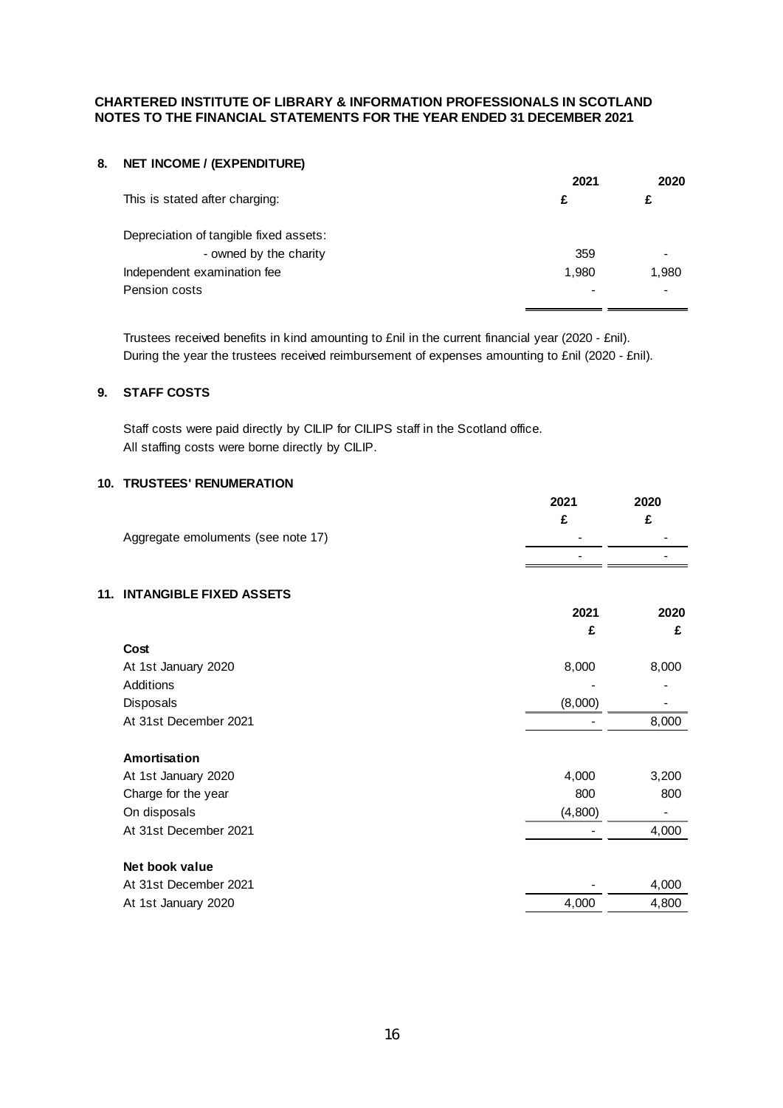#### **CHARTERED INSTITUTE OF LIBRARY & INFORMATION PROFESSIONALS IN SCOTLAND NOTES TO THE FINANCIAL STATEMENTS FOR THE YEAR ENDED 31 DECEMBER 2021**

# **8. NET INCOME / (EXPENDITURE)**

|                                        | 2021  | 2020  |
|----------------------------------------|-------|-------|
| This is stated after charging:         | £     | £     |
| Depreciation of tangible fixed assets: |       |       |
| - owned by the charity                 | 359   |       |
| Independent examination fee            | 1.980 | 1,980 |
| Pension costs                          |       |       |

Trustees received benefits in kind amounting to £nil in the current financial year (2020 - £nil). During the year the trustees received reimbursement of expenses amounting to £nil (2020 - £nil).

#### **9. STAFF COSTS**

Staff costs were paid directly by CILIP for CILIPS staff in the Scotland office. All staffing costs were borne directly by CILIP.

#### **10. TRUSTEES' RENUMERATION**

|                                    | 2021 | 2020 |
|------------------------------------|------|------|
|                                    |      |      |
| Aggregate emoluments (see note 17) | $\,$ |      |
|                                    | $\,$ |      |

#### **11. INTANGIBLE FIXED ASSETS**

|                       | 2021    | 2020  |
|-----------------------|---------|-------|
|                       | £       | £     |
| Cost                  |         |       |
| At 1st January 2020   | 8,000   | 8,000 |
| Additions             |         |       |
| Disposals             | (8,000) |       |
| At 31st December 2021 |         | 8,000 |
| Amortisation          |         |       |
| At 1st January 2020   | 4,000   | 3,200 |
| Charge for the year   | 800     | 800   |
| On disposals          | (4,800) |       |
| At 31st December 2021 |         | 4,000 |
| Net book value        |         |       |
| At 31st December 2021 |         | 4,000 |
| At 1st January 2020   | 4,000   | 4,800 |
|                       |         |       |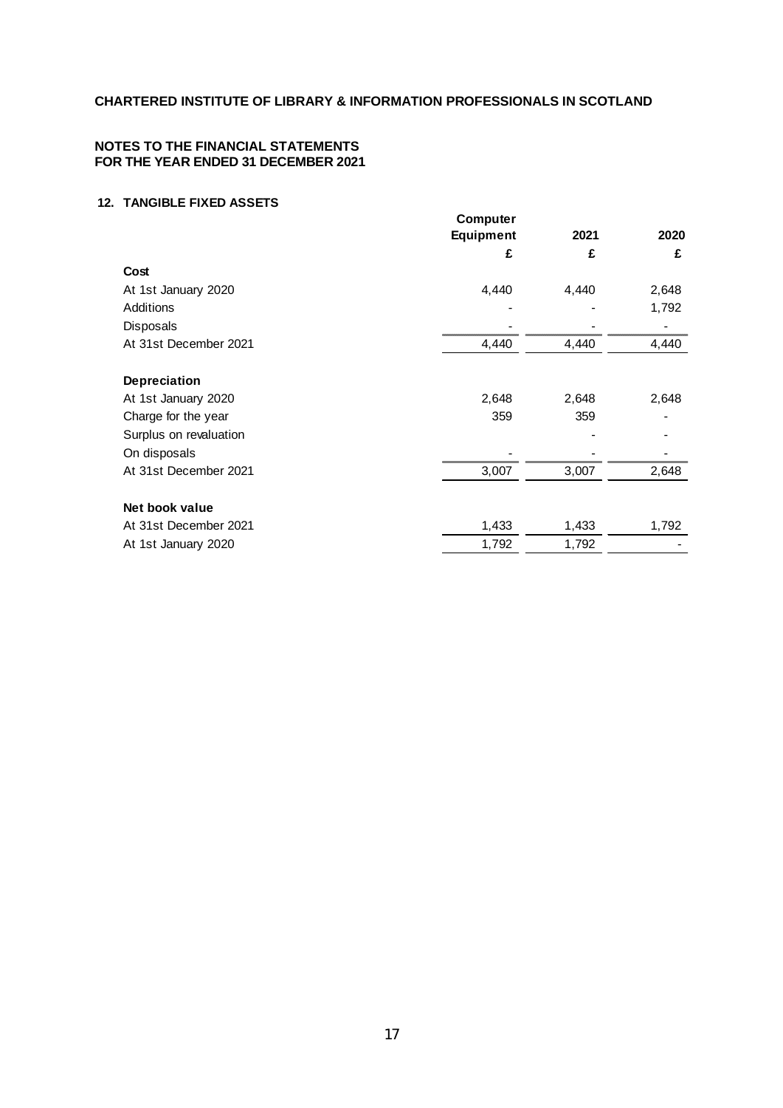#### **NOTES TO THE FINANCIAL STATEMENTS FOR THE YEAR ENDED 31 DECEMBER 2021**

#### **12. TANGIBLE FIXED ASSETS**

|                        | <b>Computer</b>  |       |       |
|------------------------|------------------|-------|-------|
|                        | <b>Equipment</b> | 2021  | 2020  |
|                        | £                | £     | £     |
| Cost                   |                  |       |       |
| At 1st January 2020    | 4,440            | 4,440 | 2,648 |
| <b>Additions</b>       |                  |       | 1,792 |
| <b>Disposals</b>       |                  |       |       |
| At 31st December 2021  | 4,440            | 4,440 | 4,440 |
| Depreciation           |                  |       |       |
| At 1st January 2020    | 2,648            | 2,648 | 2,648 |
| Charge for the year    | 359              | 359   |       |
| Surplus on revaluation |                  |       |       |
| On disposals           |                  |       |       |
| At 31st December 2021  | 3,007            | 3,007 | 2,648 |
| Net book value         |                  |       |       |
| At 31st December 2021  | 1,433            | 1,433 | 1,792 |
| At 1st January 2020    | 1,792            | 1,792 |       |